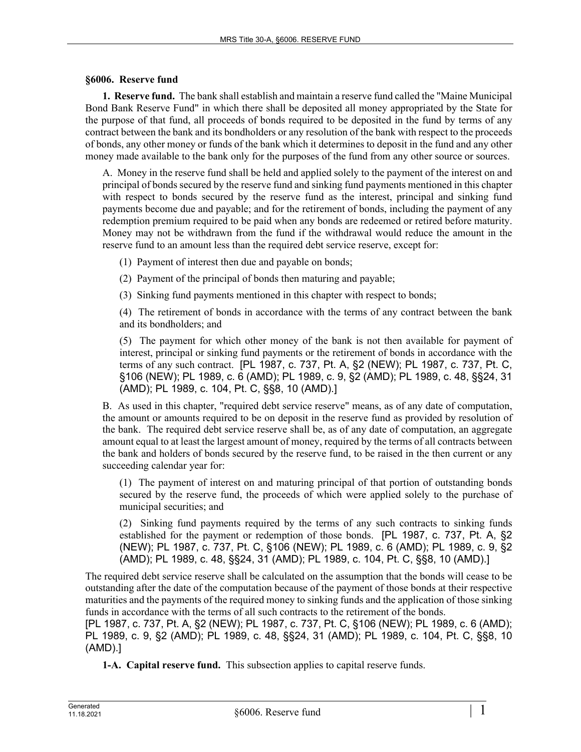## **§6006. Reserve fund**

**1. Reserve fund.** The bank shall establish and maintain a reserve fund called the "Maine Municipal Bond Bank Reserve Fund" in which there shall be deposited all money appropriated by the State for the purpose of that fund, all proceeds of bonds required to be deposited in the fund by terms of any contract between the bank and its bondholders or any resolution of the bank with respect to the proceeds of bonds, any other money or funds of the bank which it determines to deposit in the fund and any other money made available to the bank only for the purposes of the fund from any other source or sources.

A. Money in the reserve fund shall be held and applied solely to the payment of the interest on and principal of bonds secured by the reserve fund and sinking fund payments mentioned in this chapter with respect to bonds secured by the reserve fund as the interest, principal and sinking fund payments become due and payable; and for the retirement of bonds, including the payment of any redemption premium required to be paid when any bonds are redeemed or retired before maturity. Money may not be withdrawn from the fund if the withdrawal would reduce the amount in the reserve fund to an amount less than the required debt service reserve, except for:

- (1) Payment of interest then due and payable on bonds;
- (2) Payment of the principal of bonds then maturing and payable;
- (3) Sinking fund payments mentioned in this chapter with respect to bonds;

(4) The retirement of bonds in accordance with the terms of any contract between the bank and its bondholders; and

(5) The payment for which other money of the bank is not then available for payment of interest, principal or sinking fund payments or the retirement of bonds in accordance with the terms of any such contract. [PL 1987, c. 737, Pt. A, §2 (NEW); PL 1987, c. 737, Pt. C, §106 (NEW); PL 1989, c. 6 (AMD); PL 1989, c. 9, §2 (AMD); PL 1989, c. 48, §§24, 31 (AMD); PL 1989, c. 104, Pt. C, §§8, 10 (AMD).]

B. As used in this chapter, "required debt service reserve" means, as of any date of computation, the amount or amounts required to be on deposit in the reserve fund as provided by resolution of the bank. The required debt service reserve shall be, as of any date of computation, an aggregate amount equal to at least the largest amount of money, required by the terms of all contracts between the bank and holders of bonds secured by the reserve fund, to be raised in the then current or any succeeding calendar year for:

(1) The payment of interest on and maturing principal of that portion of outstanding bonds secured by the reserve fund, the proceeds of which were applied solely to the purchase of municipal securities; and

(2) Sinking fund payments required by the terms of any such contracts to sinking funds established for the payment or redemption of those bonds. [PL 1987, c. 737, Pt. A, §2 (NEW); PL 1987, c. 737, Pt. C, §106 (NEW); PL 1989, c. 6 (AMD); PL 1989, c. 9, §2 (AMD); PL 1989, c. 48, §§24, 31 (AMD); PL 1989, c. 104, Pt. C, §§8, 10 (AMD).]

The required debt service reserve shall be calculated on the assumption that the bonds will cease to be outstanding after the date of the computation because of the payment of those bonds at their respective maturities and the payments of the required money to sinking funds and the application of those sinking funds in accordance with the terms of all such contracts to the retirement of the bonds.

[PL 1987, c. 737, Pt. A, §2 (NEW); PL 1987, c. 737, Pt. C, §106 (NEW); PL 1989, c. 6 (AMD); PL 1989, c. 9, §2 (AMD); PL 1989, c. 48, §§24, 31 (AMD); PL 1989, c. 104, Pt. C, §§8, 10 (AMD).]

**1-A. Capital reserve fund.** This subsection applies to capital reserve funds.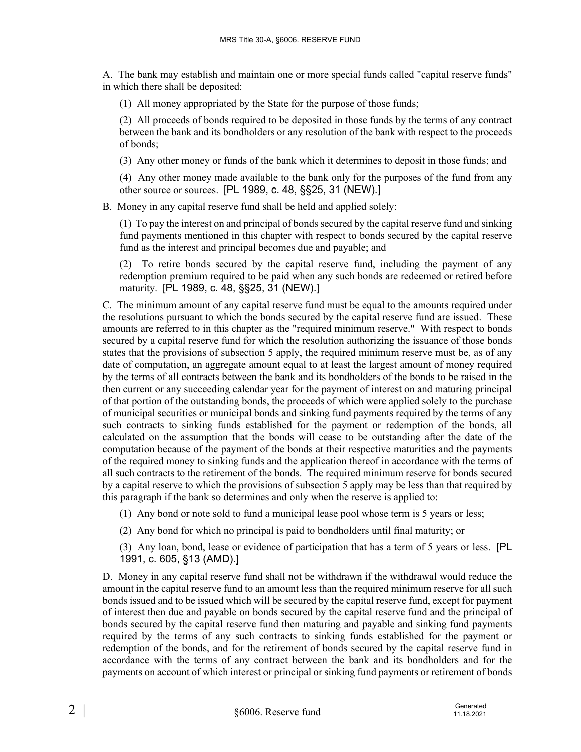A. The bank may establish and maintain one or more special funds called "capital reserve funds" in which there shall be deposited:

(1) All money appropriated by the State for the purpose of those funds;

(2) All proceeds of bonds required to be deposited in those funds by the terms of any contract between the bank and its bondholders or any resolution of the bank with respect to the proceeds of bonds;

(3) Any other money or funds of the bank which it determines to deposit in those funds; and

(4) Any other money made available to the bank only for the purposes of the fund from any other source or sources. [PL 1989, c. 48, §§25, 31 (NEW).]

B. Money in any capital reserve fund shall be held and applied solely:

(1) To pay the interest on and principal of bonds secured by the capital reserve fund and sinking fund payments mentioned in this chapter with respect to bonds secured by the capital reserve fund as the interest and principal becomes due and payable; and

(2) To retire bonds secured by the capital reserve fund, including the payment of any redemption premium required to be paid when any such bonds are redeemed or retired before maturity. [PL 1989, c. 48, §§25, 31 (NEW).]

C. The minimum amount of any capital reserve fund must be equal to the amounts required under the resolutions pursuant to which the bonds secured by the capital reserve fund are issued. These amounts are referred to in this chapter as the "required minimum reserve." With respect to bonds secured by a capital reserve fund for which the resolution authorizing the issuance of those bonds states that the provisions of subsection 5 apply, the required minimum reserve must be, as of any date of computation, an aggregate amount equal to at least the largest amount of money required by the terms of all contracts between the bank and its bondholders of the bonds to be raised in the then current or any succeeding calendar year for the payment of interest on and maturing principal of that portion of the outstanding bonds, the proceeds of which were applied solely to the purchase of municipal securities or municipal bonds and sinking fund payments required by the terms of any such contracts to sinking funds established for the payment or redemption of the bonds, all calculated on the assumption that the bonds will cease to be outstanding after the date of the computation because of the payment of the bonds at their respective maturities and the payments of the required money to sinking funds and the application thereof in accordance with the terms of all such contracts to the retirement of the bonds. The required minimum reserve for bonds secured by a capital reserve to which the provisions of subsection 5 apply may be less than that required by this paragraph if the bank so determines and only when the reserve is applied to:

(1) Any bond or note sold to fund a municipal lease pool whose term is 5 years or less;

(2) Any bond for which no principal is paid to bondholders until final maturity; or

(3) Any loan, bond, lease or evidence of participation that has a term of 5 years or less. [PL 1991, c. 605, §13 (AMD).]

D. Money in any capital reserve fund shall not be withdrawn if the withdrawal would reduce the amount in the capital reserve fund to an amount less than the required minimum reserve for all such bonds issued and to be issued which will be secured by the capital reserve fund, except for payment of interest then due and payable on bonds secured by the capital reserve fund and the principal of bonds secured by the capital reserve fund then maturing and payable and sinking fund payments required by the terms of any such contracts to sinking funds established for the payment or redemption of the bonds, and for the retirement of bonds secured by the capital reserve fund in accordance with the terms of any contract between the bank and its bondholders and for the payments on account of which interest or principal or sinking fund payments or retirement of bonds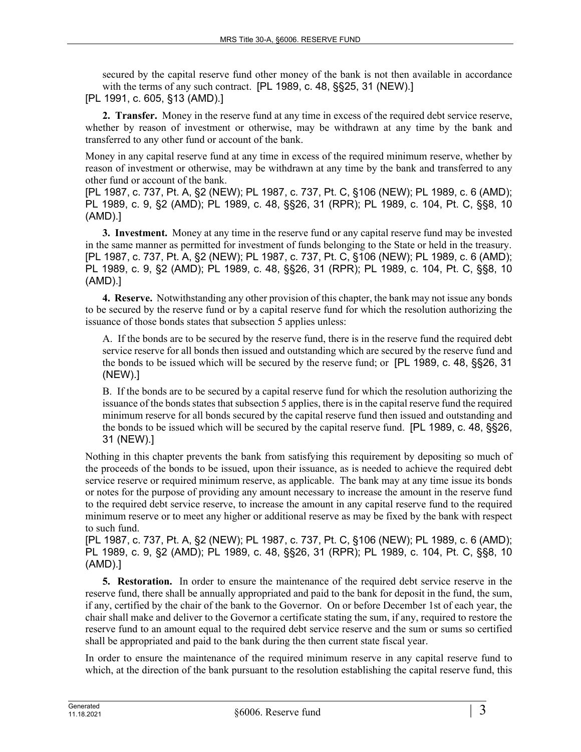secured by the capital reserve fund other money of the bank is not then available in accordance with the terms of any such contract. [PL 1989, c. 48, §§25, 31 (NEW).]

[PL 1991, c. 605, §13 (AMD).]

**2. Transfer.** Money in the reserve fund at any time in excess of the required debt service reserve, whether by reason of investment or otherwise, may be withdrawn at any time by the bank and transferred to any other fund or account of the bank.

Money in any capital reserve fund at any time in excess of the required minimum reserve, whether by reason of investment or otherwise, may be withdrawn at any time by the bank and transferred to any other fund or account of the bank.

[PL 1987, c. 737, Pt. A, §2 (NEW); PL 1987, c. 737, Pt. C, §106 (NEW); PL 1989, c. 6 (AMD); PL 1989, c. 9, §2 (AMD); PL 1989, c. 48, §§26, 31 (RPR); PL 1989, c. 104, Pt. C, §§8, 10 (AMD).]

**3. Investment.** Money at any time in the reserve fund or any capital reserve fund may be invested in the same manner as permitted for investment of funds belonging to the State or held in the treasury. [PL 1987, c. 737, Pt. A, §2 (NEW); PL 1987, c. 737, Pt. C, §106 (NEW); PL 1989, c. 6 (AMD); PL 1989, c. 9, §2 (AMD); PL 1989, c. 48, §§26, 31 (RPR); PL 1989, c. 104, Pt. C, §§8, 10 (AMD).]

**4. Reserve.** Notwithstanding any other provision of this chapter, the bank may not issue any bonds to be secured by the reserve fund or by a capital reserve fund for which the resolution authorizing the issuance of those bonds states that subsection 5 applies unless:

A. If the bonds are to be secured by the reserve fund, there is in the reserve fund the required debt service reserve for all bonds then issued and outstanding which are secured by the reserve fund and the bonds to be issued which will be secured by the reserve fund; or [PL 1989, c. 48, §§26, 31 (NEW).]

B. If the bonds are to be secured by a capital reserve fund for which the resolution authorizing the issuance of the bonds states that subsection 5 applies, there is in the capital reserve fund the required minimum reserve for all bonds secured by the capital reserve fund then issued and outstanding and the bonds to be issued which will be secured by the capital reserve fund. [PL 1989, c. 48, §§26, 31 (NEW).]

Nothing in this chapter prevents the bank from satisfying this requirement by depositing so much of the proceeds of the bonds to be issued, upon their issuance, as is needed to achieve the required debt service reserve or required minimum reserve, as applicable. The bank may at any time issue its bonds or notes for the purpose of providing any amount necessary to increase the amount in the reserve fund to the required debt service reserve, to increase the amount in any capital reserve fund to the required minimum reserve or to meet any higher or additional reserve as may be fixed by the bank with respect to such fund.

[PL 1987, c. 737, Pt. A, §2 (NEW); PL 1987, c. 737, Pt. C, §106 (NEW); PL 1989, c. 6 (AMD); PL 1989, c. 9, §2 (AMD); PL 1989, c. 48, §§26, 31 (RPR); PL 1989, c. 104, Pt. C, §§8, 10 (AMD).]

**5. Restoration.** In order to ensure the maintenance of the required debt service reserve in the reserve fund, there shall be annually appropriated and paid to the bank for deposit in the fund, the sum, if any, certified by the chair of the bank to the Governor. On or before December 1st of each year, the chair shall make and deliver to the Governor a certificate stating the sum, if any, required to restore the reserve fund to an amount equal to the required debt service reserve and the sum or sums so certified shall be appropriated and paid to the bank during the then current state fiscal year.

In order to ensure the maintenance of the required minimum reserve in any capital reserve fund to which, at the direction of the bank pursuant to the resolution establishing the capital reserve fund, this